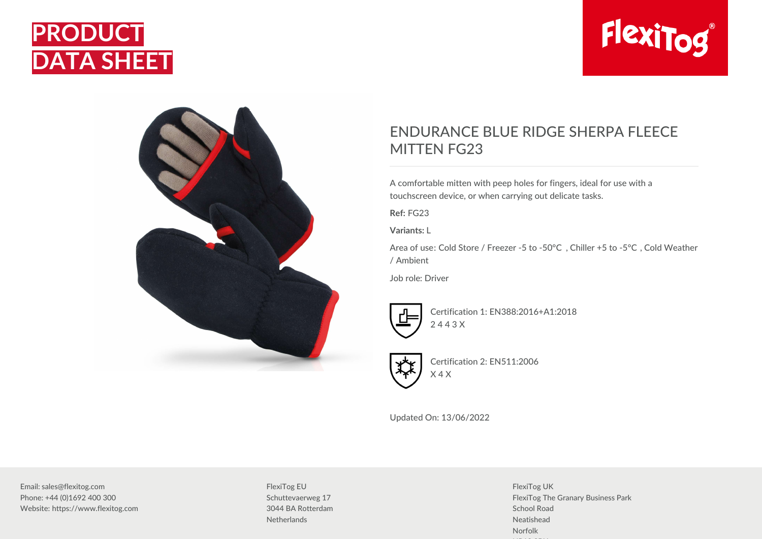





## ENDURANCE BLUE RIDGE SHERPA FLEECE MITTEN FG23

A comfortable mitten with peep holes for fingers, ideal for use with a touchscreen device, or when carrying out delicate tasks.

**Ref:** FG23

**Variants:** L

Area of use: Cold Store / Freezer -5 to -50°C , Chiller +5 to -5°C , Cold Weather / Ambient

Job role: Driver



Certification 1: EN388:2016+A1:2018 2 4 4 3 X



Certification 2: EN511:2006 X 4 X

Updated On: 13/06/2022

Email: sales@flexitog.com Phone: +44 (0)1692 400 300 Website: https://www.flexitog.com FlexiTog EU Schuttevaerweg 17 3044 BA Rotterdam **Netherlands** 

FlexiTog UK FlexiTog The Granary Business Park School Road Neatishead Norfolk